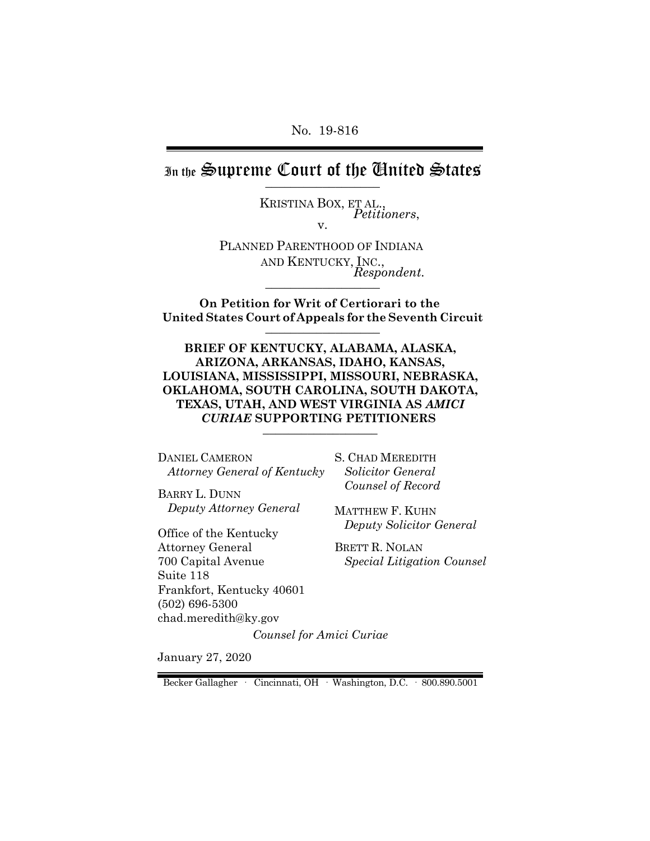No. 19-816

In the Supreme Court of the Chuited States

KRISTINA BOX, ET AL., *Petitioners*, v.

PLANNED PARENTHOOD OF INDIANA AND KENTUCKY, INC., *Respondent*.

 **On Petition for Writ of Certiorari to the United States Court of Appeals for the Seventh Circuit** \_\_\_\_\_\_\_\_\_\_\_\_\_\_\_\_\_\_

**BRIEF OF KENTUCKY, ALABAMA, ALASKA, ARIZONA, ARKANSAS, IDAHO, KANSAS, LOUISIANA, MISSISSIPPI, MISSOURI, NEBRASKA, OKLAHOMA, SOUTH CAROLINA, SOUTH DAKOTA, TEXAS, UTAH, AND WEST VIRGINIA AS** *AMICI CURIAE* **SUPPORTING PETITIONERS** \_\_\_\_\_\_\_\_\_\_\_\_\_\_\_\_\_\_

DANIEL CAMERON *Attorney General of Kentucky* 

BARRY L. DUNN *Deputy Attorney General*

Office of the Kentucky Attorney General 700 Capital Avenue Suite 118 Frankfort, Kentucky 40601 (502) 696-5300 chad.meredith@ky.gov

S. CHAD MEREDITH *Solicitor General Counsel of Record*

MATTHEW F. KUHN *Deputy Solicitor General*

BRETT R. NOLAN  *Special Litigation Counsel*

*Counsel for Amici Curiae*

January 27, 2020

Becker Gallagher · Cincinnati, OH · Washington, D.C. · 800.890.5001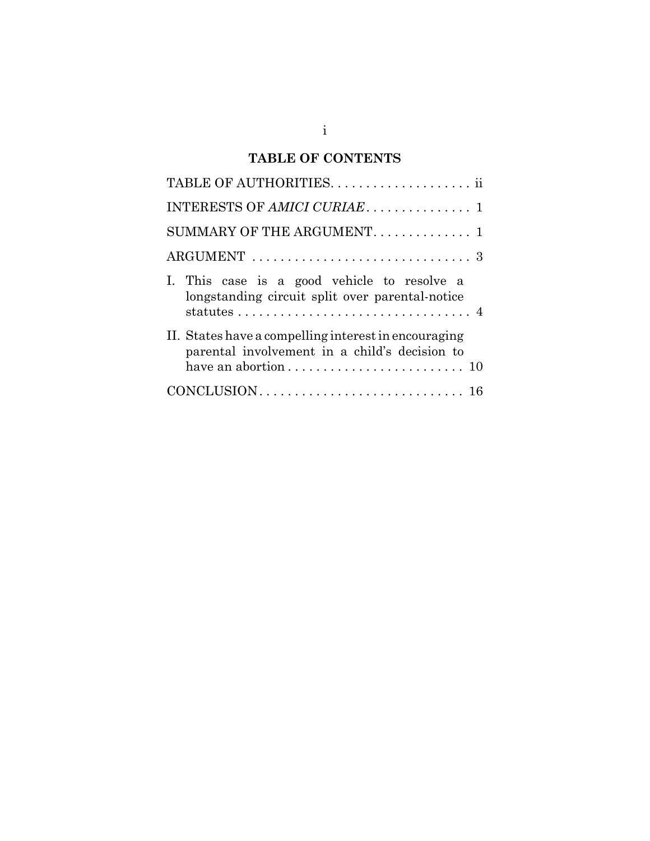# **TABLE OF CONTENTS**

| SUMMARY OF THE ARGUMENT. 1                                                                            |
|-------------------------------------------------------------------------------------------------------|
|                                                                                                       |
| I. This case is a good vehicle to resolve a<br>longstanding circuit split over parental-notice        |
| II. States have a compelling interest in encouraging<br>parental involvement in a child's decision to |
|                                                                                                       |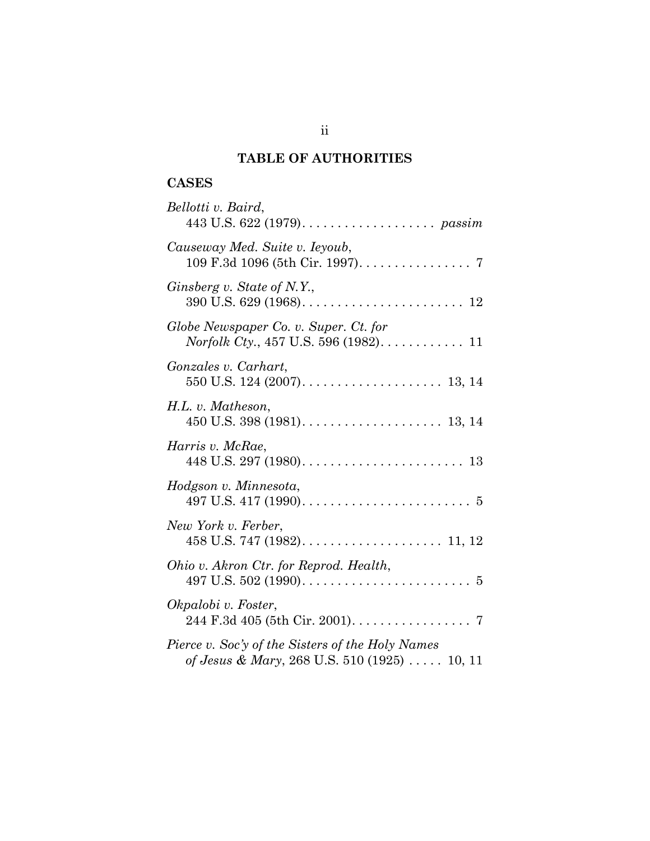# **TABLE OF AUTHORITIES**

# **CASES**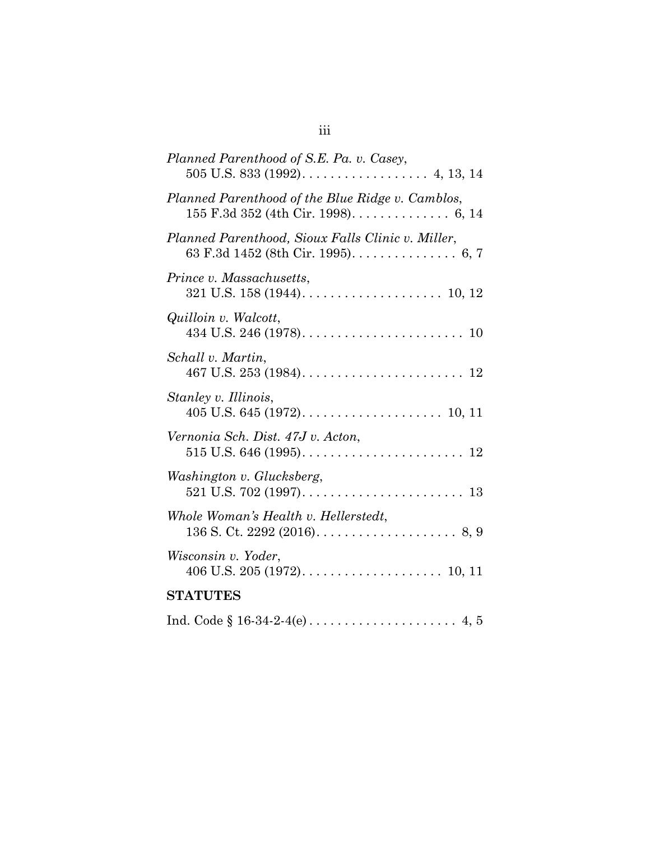| Planned Parenthood of S.E. Pa. v. Casey,                                                                                |
|-------------------------------------------------------------------------------------------------------------------------|
| Planned Parenthood of the Blue Ridge v. Camblos,                                                                        |
| Planned Parenthood, Sioux Falls Clinic v. Miller,<br>63 F.3d 1452 (8th Cir. 1995). $\dots \dots \dots \dots \dots$ 6, 7 |
| Prince v. Massachusetts,                                                                                                |
| Quilloin v. Walcott,                                                                                                    |
| Schall v. Martin,                                                                                                       |
| Stanley v. Illinois,                                                                                                    |
| Vernonia Sch. Dist. 47J v. Acton,                                                                                       |
| Washington v. Glucksberg,                                                                                               |
| Whole Woman's Health v. Hellerstedt,<br>136 S. Ct. 2292 (2016). $\ldots$ . 8, 9                                         |
| Wisconsin v. Yoder,                                                                                                     |
| <b>STATUTES</b>                                                                                                         |
|                                                                                                                         |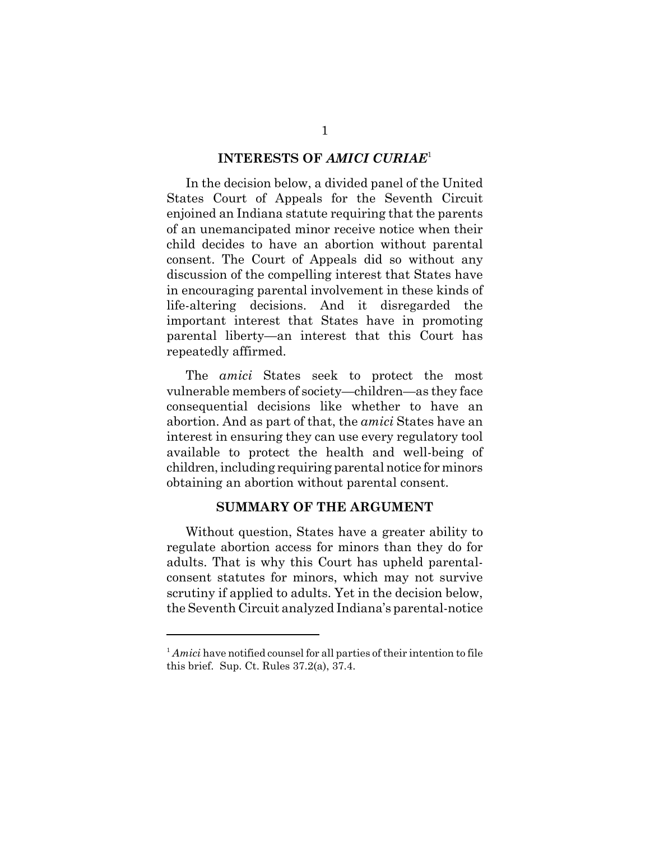#### **INTERESTS OF** *AMICI CURIAE*<sup>1</sup>

In the decision below, a divided panel of the United States Court of Appeals for the Seventh Circuit enjoined an Indiana statute requiring that the parents of an unemancipated minor receive notice when their child decides to have an abortion without parental consent. The Court of Appeals did so without any discussion of the compelling interest that States have in encouraging parental involvement in these kinds of life-altering decisions. And it disregarded the important interest that States have in promoting parental liberty—an interest that this Court has repeatedly affirmed.

The *amici* States seek to protect the most vulnerable members of society—children—as they face consequential decisions like whether to have an abortion. And as part of that, the *amici* States have an interest in ensuring they can use every regulatory tool available to protect the health and well-being of children, including requiring parental notice for minors obtaining an abortion without parental consent.

#### **SUMMARY OF THE ARGUMENT**

Without question, States have a greater ability to regulate abortion access for minors than they do for adults. That is why this Court has upheld parentalconsent statutes for minors, which may not survive scrutiny if applied to adults. Yet in the decision below, the Seventh Circuit analyzed Indiana's parental-notice

<sup>&</sup>lt;sup>1</sup> Amici have notified counsel for all parties of their intention to file this brief. Sup. Ct. Rules 37.2(a), 37.4.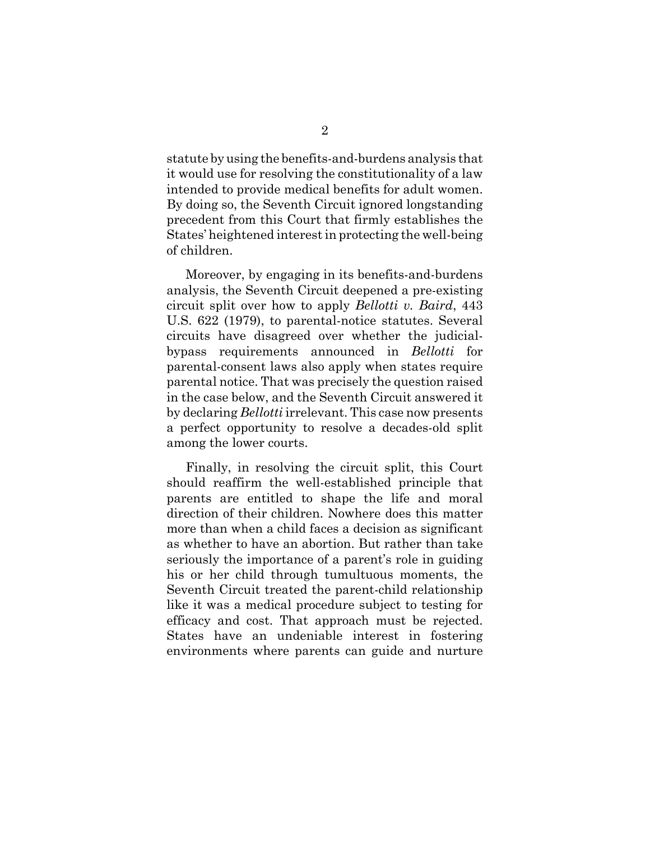statute by using the benefits-and-burdens analysis that it would use for resolving the constitutionality of a law intended to provide medical benefits for adult women. By doing so, the Seventh Circuit ignored longstanding precedent from this Court that firmly establishes the States' heightened interest in protecting the well-being of children.

Moreover, by engaging in its benefits-and-burdens analysis, the Seventh Circuit deepened a pre-existing circuit split over how to apply *Bellotti v. Baird*, 443 U.S. 622 (1979), to parental-notice statutes. Several circuits have disagreed over whether the judicialbypass requirements announced in *Bellotti* for parental-consent laws also apply when states require parental notice. That was precisely the question raised in the case below, and the Seventh Circuit answered it by declaring *Bellotti* irrelevant. This case now presents a perfect opportunity to resolve a decades-old split among the lower courts.

Finally, in resolving the circuit split, this Court should reaffirm the well-established principle that parents are entitled to shape the life and moral direction of their children. Nowhere does this matter more than when a child faces a decision as significant as whether to have an abortion. But rather than take seriously the importance of a parent's role in guiding his or her child through tumultuous moments, the Seventh Circuit treated the parent-child relationship like it was a medical procedure subject to testing for efficacy and cost. That approach must be rejected. States have an undeniable interest in fostering environments where parents can guide and nurture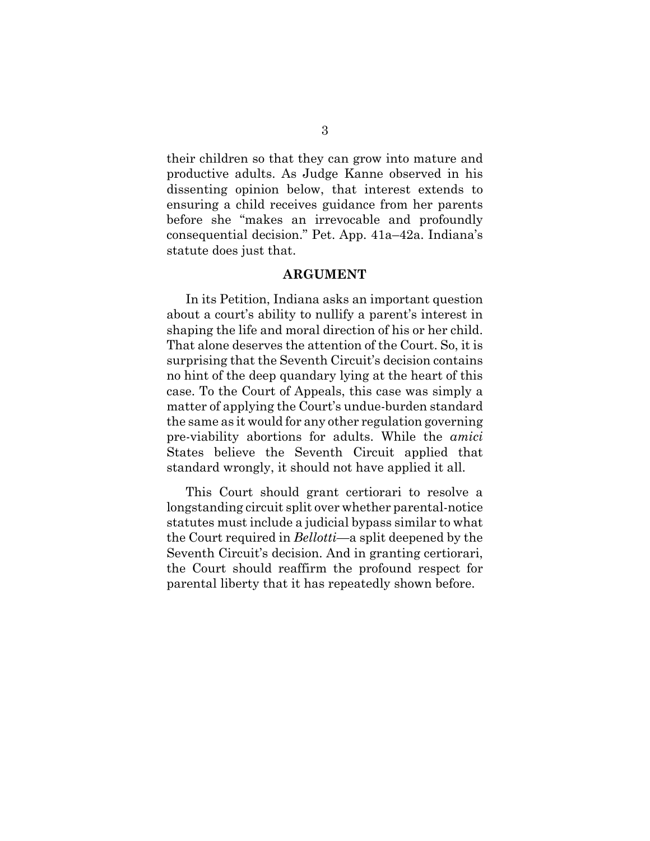their children so that they can grow into mature and productive adults. As Judge Kanne observed in his dissenting opinion below, that interest extends to ensuring a child receives guidance from her parents before she "makes an irrevocable and profoundly consequential decision." Pet. App. 41a–42a. Indiana's statute does just that.

#### **ARGUMENT**

In its Petition, Indiana asks an important question about a court's ability to nullify a parent's interest in shaping the life and moral direction of his or her child. That alone deserves the attention of the Court. So, it is surprising that the Seventh Circuit's decision contains no hint of the deep quandary lying at the heart of this case. To the Court of Appeals, this case was simply a matter of applying the Court's undue-burden standard the same as it would for any other regulation governing pre-viability abortions for adults. While the *amici* States believe the Seventh Circuit applied that standard wrongly, it should not have applied it all.

This Court should grant certiorari to resolve a longstanding circuit split over whether parental-notice statutes must include a judicial bypass similar to what the Court required in *Bellotti*—a split deepened by the Seventh Circuit's decision. And in granting certiorari, the Court should reaffirm the profound respect for parental liberty that it has repeatedly shown before.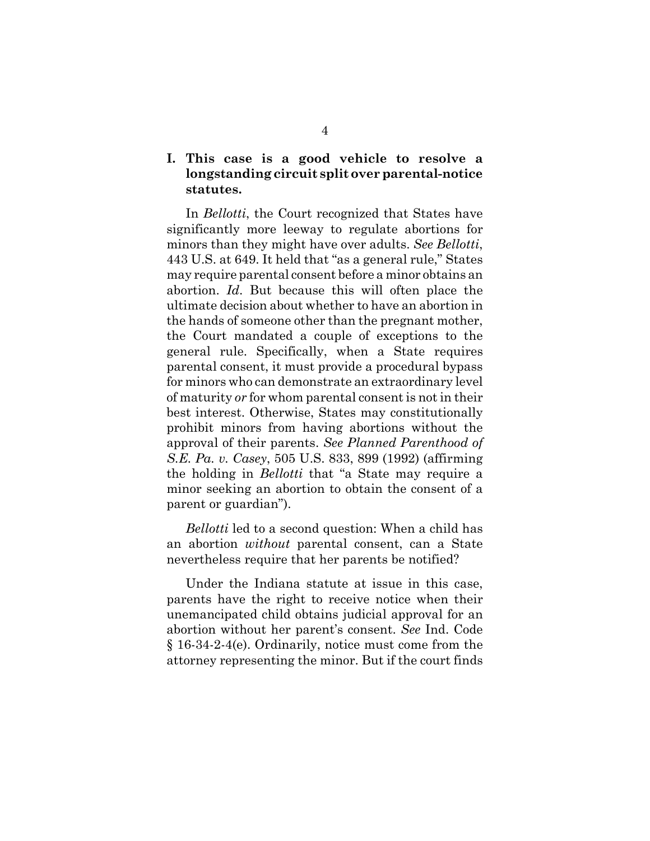## **I. This case is a good vehicle to resolve a longstanding circuit split over parental-notice statutes.**

In *Bellotti*, the Court recognized that States have significantly more leeway to regulate abortions for minors than they might have over adults. *See Bellotti*, 443 U.S. at 649. It held that "as a general rule," States may require parental consent before a minor obtains an abortion. *Id*. But because this will often place the ultimate decision about whether to have an abortion in the hands of someone other than the pregnant mother, the Court mandated a couple of exceptions to the general rule. Specifically, when a State requires parental consent, it must provide a procedural bypass for minors who can demonstrate an extraordinary level of maturity *or* for whom parental consent is not in their best interest. Otherwise, States may constitutionally prohibit minors from having abortions without the approval of their parents. *See Planned Parenthood of S.E. Pa. v. Casey*, 505 U.S. 833, 899 (1992) (affirming the holding in *Bellotti* that "a State may require a minor seeking an abortion to obtain the consent of a parent or guardian").

*Bellotti* led to a second question: When a child has an abortion *without* parental consent, can a State nevertheless require that her parents be notified?

Under the Indiana statute at issue in this case, parents have the right to receive notice when their unemancipated child obtains judicial approval for an abortion without her parent's consent. *See* Ind. Code § 16-34-2-4(e). Ordinarily, notice must come from the attorney representing the minor. But if the court finds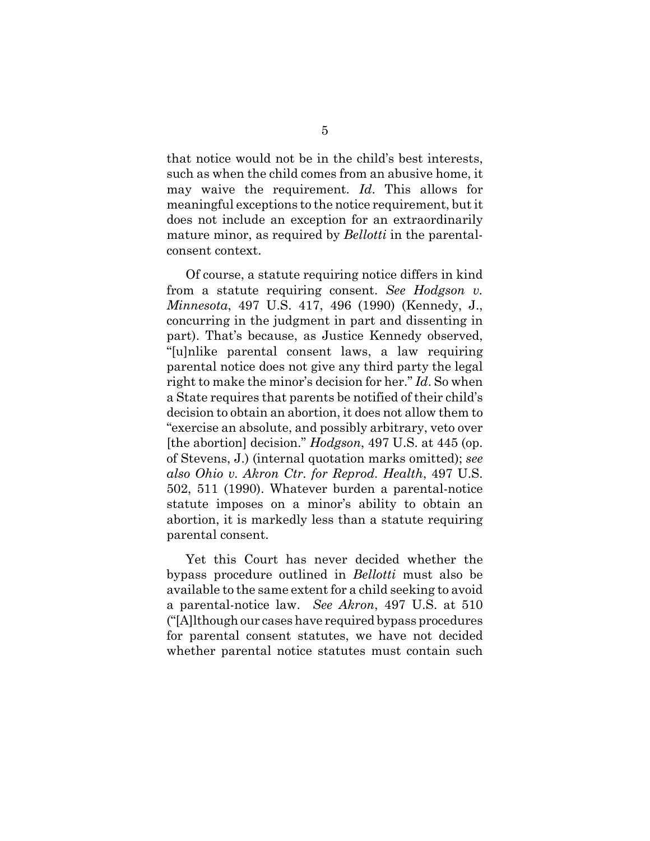that notice would not be in the child's best interests, such as when the child comes from an abusive home, it may waive the requirement. *Id*. This allows for meaningful exceptions to the notice requirement, but it does not include an exception for an extraordinarily mature minor, as required by *Bellotti* in the parentalconsent context.

Of course, a statute requiring notice differs in kind from a statute requiring consent. *See Hodgson v. Minnesota*, 497 U.S. 417, 496 (1990) (Kennedy, J., concurring in the judgment in part and dissenting in part). That's because, as Justice Kennedy observed, "[u]nlike parental consent laws, a law requiring parental notice does not give any third party the legal right to make the minor's decision for her." *Id*. So when a State requires that parents be notified of their child's decision to obtain an abortion, it does not allow them to "exercise an absolute, and possibly arbitrary, veto over [the abortion] decision." *Hodgson*, 497 U.S. at 445 (op. of Stevens, J.) (internal quotation marks omitted); *see also Ohio v. Akron Ctr. for Reprod. Health*, 497 U.S. 502, 511 (1990). Whatever burden a parental-notice statute imposes on a minor's ability to obtain an abortion, it is markedly less than a statute requiring parental consent.

Yet this Court has never decided whether the bypass procedure outlined in *Bellotti* must also be available to the same extent for a child seeking to avoid a parental-notice law. *See Akron*, 497 U.S. at 510 ("[A]lthough our cases have required bypass procedures for parental consent statutes, we have not decided whether parental notice statutes must contain such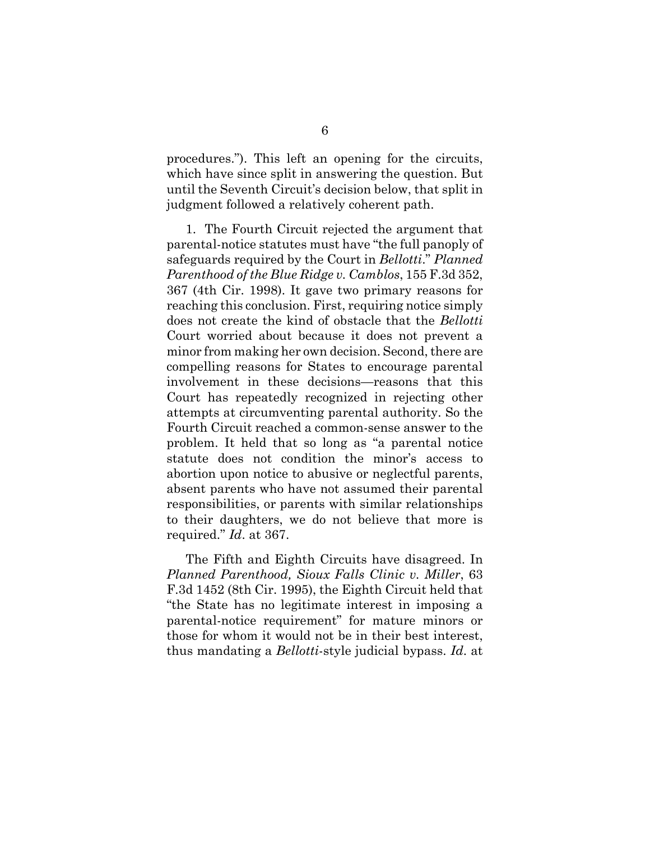procedures."). This left an opening for the circuits, which have since split in answering the question. But until the Seventh Circuit's decision below, that split in judgment followed a relatively coherent path.

1. The Fourth Circuit rejected the argument that parental-notice statutes must have "the full panoply of safeguards required by the Court in *Bellotti*." *Planned Parenthood of the Blue Ridge v. Camblos*, 155 F.3d 352, 367 (4th Cir. 1998). It gave two primary reasons for reaching this conclusion. First, requiring notice simply does not create the kind of obstacle that the *Bellotti* Court worried about because it does not prevent a minor from making her own decision. Second, there are compelling reasons for States to encourage parental involvement in these decisions—reasons that this Court has repeatedly recognized in rejecting other attempts at circumventing parental authority. So the Fourth Circuit reached a common-sense answer to the problem. It held that so long as "a parental notice statute does not condition the minor's access to abortion upon notice to abusive or neglectful parents, absent parents who have not assumed their parental responsibilities, or parents with similar relationships to their daughters, we do not believe that more is required." *Id*. at 367.

The Fifth and Eighth Circuits have disagreed. In *Planned Parenthood, Sioux Falls Clinic v. Miller*, 63 F.3d 1452 (8th Cir. 1995), the Eighth Circuit held that "the State has no legitimate interest in imposing a parental-notice requirement" for mature minors or those for whom it would not be in their best interest, thus mandating a *Bellotti*-style judicial bypass. *Id*. at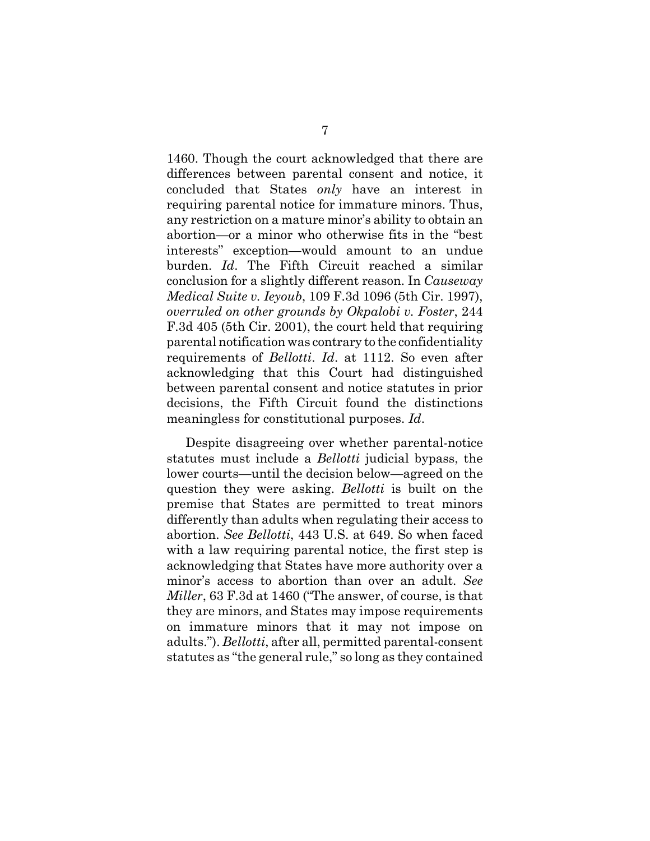1460. Though the court acknowledged that there are differences between parental consent and notice, it concluded that States *only* have an interest in requiring parental notice for immature minors. Thus, any restriction on a mature minor's ability to obtain an abortion—or a minor who otherwise fits in the "best interests" exception—would amount to an undue burden. *Id*. The Fifth Circuit reached a similar conclusion for a slightly different reason. In *Causeway Medical Suite v. Ieyoub*, 109 F.3d 1096 (5th Cir. 1997), *overruled on other grounds by Okpalobi v. Foster*, 244 F.3d 405 (5th Cir. 2001), the court held that requiring parental notification was contrary to the confidentiality requirements of *Bellotti*. *Id*. at 1112. So even after acknowledging that this Court had distinguished between parental consent and notice statutes in prior decisions, the Fifth Circuit found the distinctions meaningless for constitutional purposes. *Id*.

Despite disagreeing over whether parental-notice statutes must include a *Bellotti* judicial bypass, the lower courts—until the decision below—agreed on the question they were asking. *Bellotti* is built on the premise that States are permitted to treat minors differently than adults when regulating their access to abortion. *See Bellotti*, 443 U.S. at 649. So when faced with a law requiring parental notice, the first step is acknowledging that States have more authority over a minor's access to abortion than over an adult. *See Miller*, 63 F.3d at 1460 ("The answer, of course, is that they are minors, and States may impose requirements on immature minors that it may not impose on adults."). *Bellotti*, after all, permitted parental-consent statutes as "the general rule," so long as they contained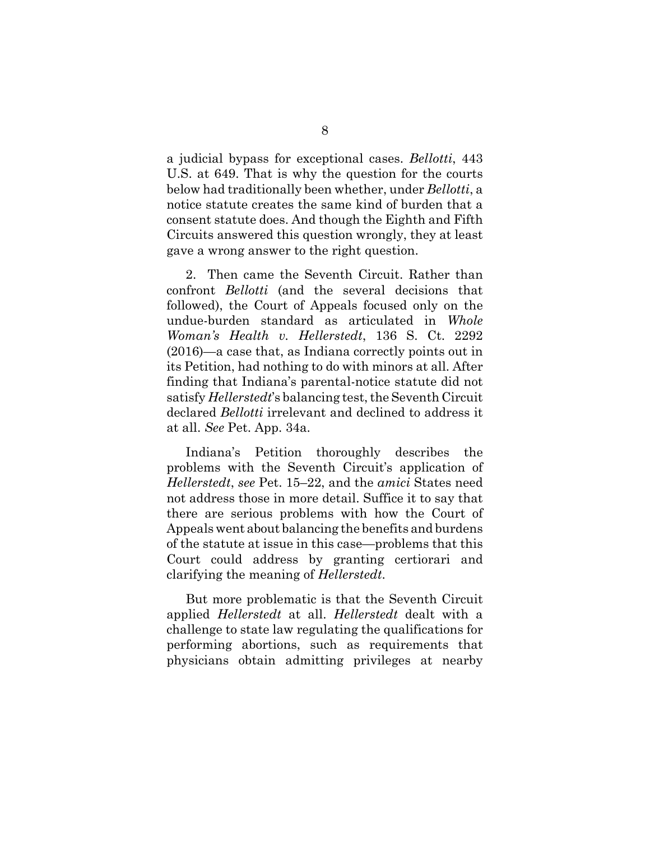a judicial bypass for exceptional cases. *Bellotti*, 443 U.S. at 649. That is why the question for the courts below had traditionally been whether, under *Bellotti*, a notice statute creates the same kind of burden that a consent statute does. And though the Eighth and Fifth Circuits answered this question wrongly, they at least gave a wrong answer to the right question.

2. Then came the Seventh Circuit. Rather than confront *Bellotti* (and the several decisions that followed), the Court of Appeals focused only on the undue-burden standard as articulated in *Whole Woman's Health v. Hellerstedt*, 136 S. Ct. 2292 (2016)—a case that, as Indiana correctly points out in its Petition, had nothing to do with minors at all. After finding that Indiana's parental-notice statute did not satisfy *Hellerstedt*'s balancing test, the Seventh Circuit declared *Bellotti* irrelevant and declined to address it at all. *See* Pet. App. 34a.

Indiana's Petition thoroughly describes the problems with the Seventh Circuit's application of *Hellerstedt*, *see* Pet. 15–22, and the *amici* States need not address those in more detail. Suffice it to say that there are serious problems with how the Court of Appeals went about balancing the benefits and burdens of the statute at issue in this case—problems that this Court could address by granting certiorari and clarifying the meaning of *Hellerstedt*.

But more problematic is that the Seventh Circuit applied *Hellerstedt* at all. *Hellerstedt* dealt with a challenge to state law regulating the qualifications for performing abortions, such as requirements that physicians obtain admitting privileges at nearby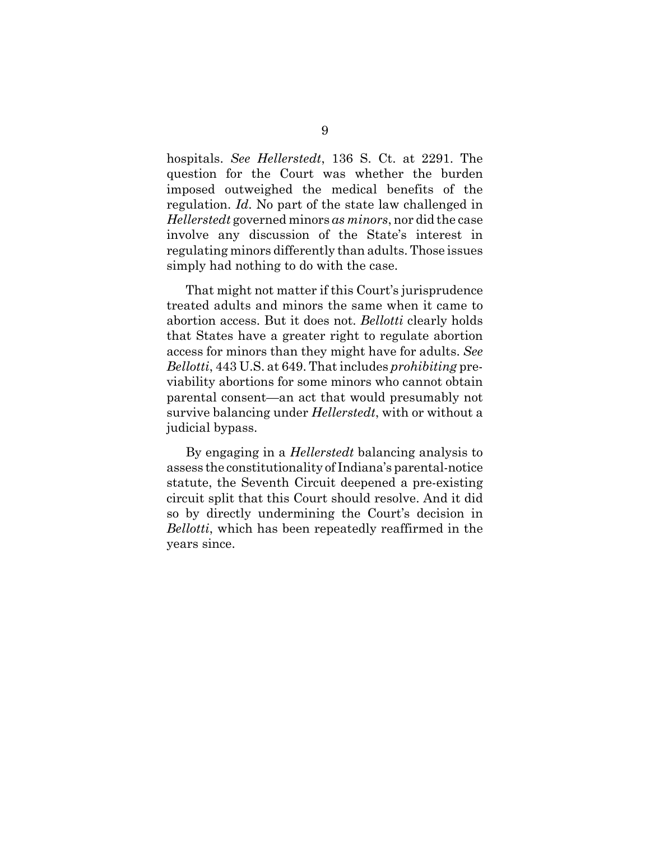hospitals. *See Hellerstedt*, 136 S. Ct. at 2291. The question for the Court was whether the burden imposed outweighed the medical benefits of the regulation. *Id*. No part of the state law challenged in *Hellerstedt* governed minors *as minors*, nor did the case involve any discussion of the State's interest in regulating minors differently than adults. Those issues simply had nothing to do with the case.

That might not matter if this Court's jurisprudence treated adults and minors the same when it came to abortion access. But it does not. *Bellotti* clearly holds that States have a greater right to regulate abortion access for minors than they might have for adults. *See Bellotti*, 443 U.S. at 649. That includes *prohibiting* previability abortions for some minors who cannot obtain parental consent—an act that would presumably not survive balancing under *Hellerstedt*, with or without a judicial bypass.

By engaging in a *Hellerstedt* balancing analysis to assess the constitutionality of Indiana's parental-notice statute, the Seventh Circuit deepened a pre-existing circuit split that this Court should resolve. And it did so by directly undermining the Court's decision in *Bellotti*, which has been repeatedly reaffirmed in the years since.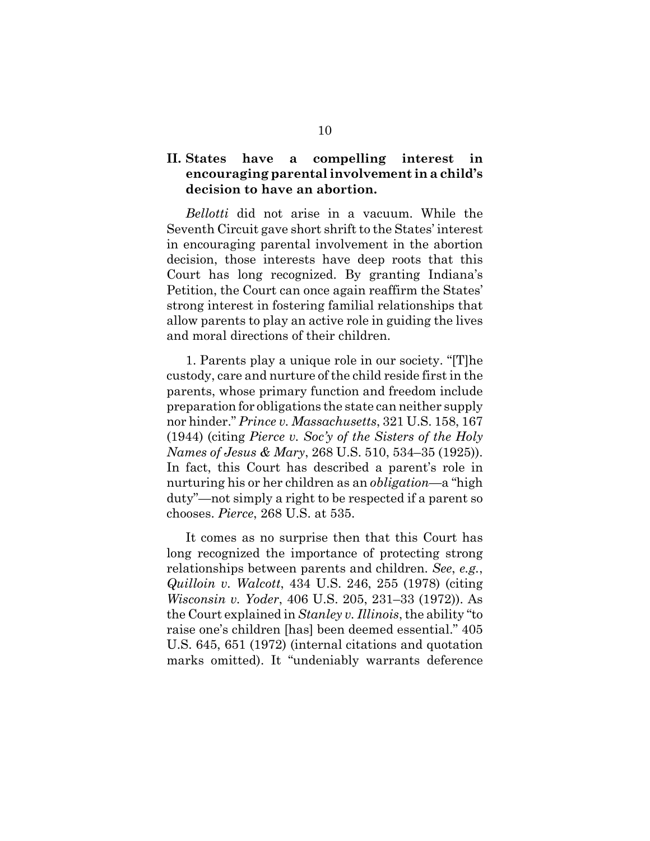## **II. States have a compelling interest in encouraging parental involvement in a child's decision to have an abortion.**

*Bellotti* did not arise in a vacuum. While the Seventh Circuit gave short shrift to the States' interest in encouraging parental involvement in the abortion decision, those interests have deep roots that this Court has long recognized. By granting Indiana's Petition, the Court can once again reaffirm the States' strong interest in fostering familial relationships that allow parents to play an active role in guiding the lives and moral directions of their children.

1. Parents play a unique role in our society. "[T]he custody, care and nurture of the child reside first in the parents, whose primary function and freedom include preparation for obligations the state can neither supply nor hinder." *Prince v. Massachusetts*, 321 U.S. 158, 167 (1944) (citing *Pierce v. Soc'y of the Sisters of the Holy Names of Jesus & Mary*, 268 U.S. 510, 534–35 (1925)). In fact, this Court has described a parent's role in nurturing his or her children as an *obligation*—a "high duty"—not simply a right to be respected if a parent so chooses. *Pierce*, 268 U.S. at 535.

It comes as no surprise then that this Court has long recognized the importance of protecting strong relationships between parents and children. *See*, *e.g.*, *Quilloin v. Walcott*, 434 U.S. 246, 255 (1978) (citing *Wisconsin v. Yoder*, 406 U.S. 205, 231–33 (1972)). As the Court explained in *Stanley v. Illinois*, the ability "to raise one's children [has] been deemed essential." 405 U.S. 645, 651 (1972) (internal citations and quotation marks omitted). It "undeniably warrants deference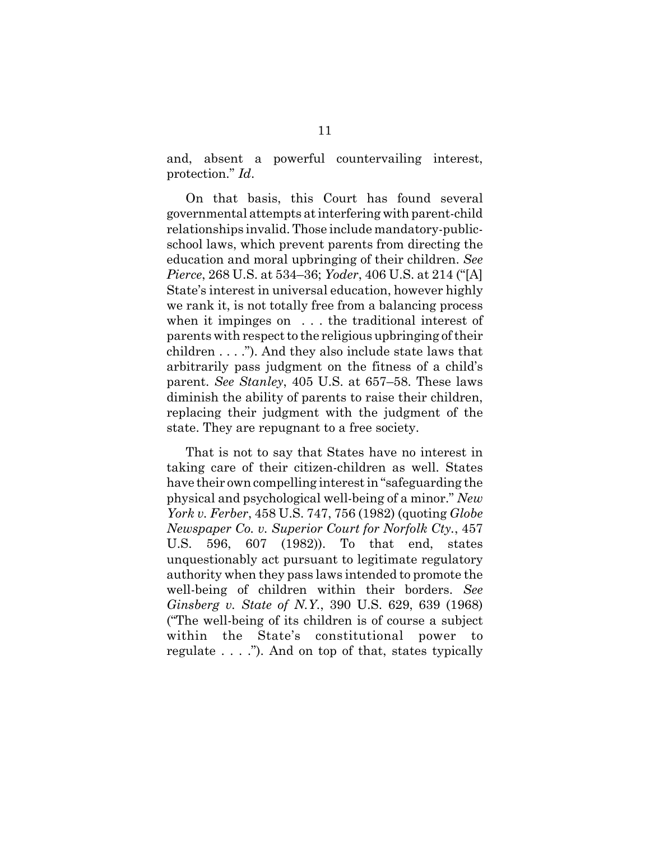and, absent a powerful countervailing interest, protection." *Id*.

On that basis, this Court has found several governmental attempts at interfering with parent-child relationships invalid. Those include mandatory-publicschool laws, which prevent parents from directing the education and moral upbringing of their children. *See Pierce*, 268 U.S. at 534–36; *Yoder*, 406 U.S. at 214 ("[A] State's interest in universal education, however highly we rank it, is not totally free from a balancing process when it impinges on . . . the traditional interest of parents with respect to the religious upbringing of their children . . . ."). And they also include state laws that arbitrarily pass judgment on the fitness of a child's parent. *See Stanley*, 405 U.S. at 657–58. These laws diminish the ability of parents to raise their children, replacing their judgment with the judgment of the state. They are repugnant to a free society.

That is not to say that States have no interest in taking care of their citizen-children as well. States have their own compelling interest in "safeguarding the physical and psychological well-being of a minor." *New York v. Ferber*, 458 U.S. 747, 756 (1982) (quoting *Globe Newspaper Co. v. Superior Court for Norfolk Cty.*, 457 U.S. 596, 607 (1982)). To that end, states unquestionably act pursuant to legitimate regulatory authority when they pass laws intended to promote the well-being of children within their borders. *See Ginsberg v. State of N.Y.*, 390 U.S. 629, 639 (1968) ("The well-being of its children is of course a subject within the State's constitutional power to regulate . . . ."). And on top of that, states typically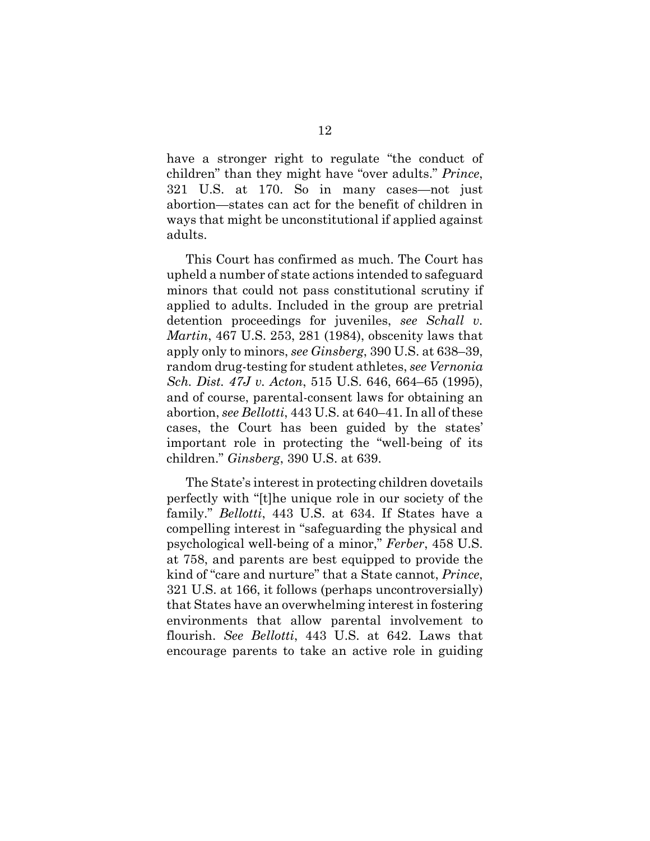have a stronger right to regulate "the conduct of children" than they might have "over adults." *Prince*, 321 U.S. at 170. So in many cases—not just abortion—states can act for the benefit of children in ways that might be unconstitutional if applied against adults.

This Court has confirmed as much. The Court has upheld a number of state actions intended to safeguard minors that could not pass constitutional scrutiny if applied to adults. Included in the group are pretrial detention proceedings for juveniles, *see Schall v. Martin*, 467 U.S. 253, 281 (1984), obscenity laws that apply only to minors, *see Ginsberg*, 390 U.S. at 638–39, random drug-testing for student athletes, *see Vernonia Sch. Dist. 47J v. Acton*, 515 U.S. 646, 664–65 (1995), and of course, parental-consent laws for obtaining an abortion, *see Bellotti*, 443 U.S. at 640–41. In all of these cases, the Court has been guided by the states' important role in protecting the "well-being of its children." *Ginsberg*, 390 U.S. at 639.

The State's interest in protecting children dovetails perfectly with "[t]he unique role in our society of the family." *Bellotti*, 443 U.S. at 634. If States have a compelling interest in "safeguarding the physical and psychological well-being of a minor," *Ferber*, 458 U.S. at 758, and parents are best equipped to provide the kind of "care and nurture" that a State cannot, *Prince*, 321 U.S. at 166, it follows (perhaps uncontroversially) that States have an overwhelming interest in fostering environments that allow parental involvement to flourish. *See Bellotti*, 443 U.S. at 642. Laws that encourage parents to take an active role in guiding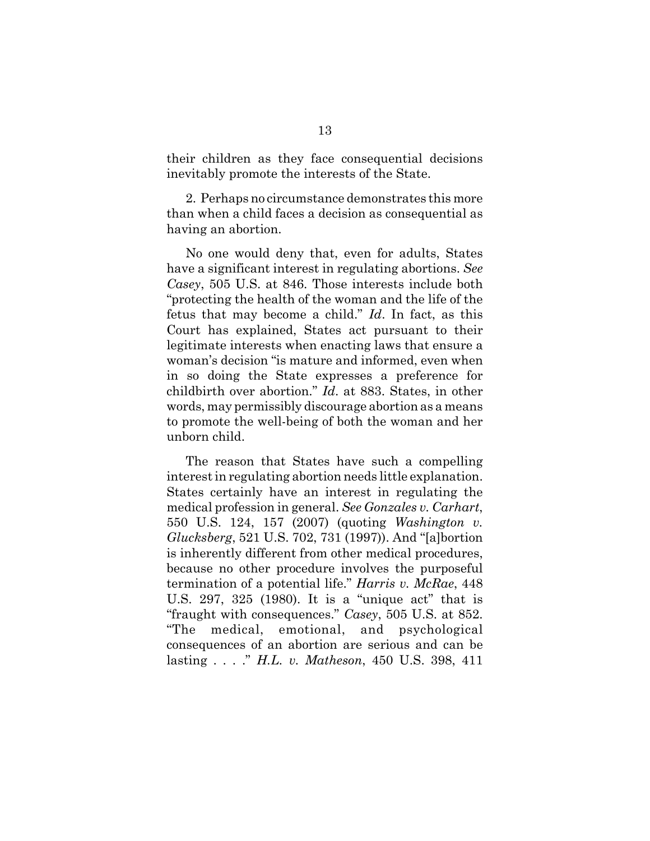their children as they face consequential decisions inevitably promote the interests of the State.

2.Perhaps no circumstance demonstrates this more than when a child faces a decision as consequential as having an abortion.

No one would deny that, even for adults, States have a significant interest in regulating abortions. *See Casey*, 505 U.S. at 846. Those interests include both "protecting the health of the woman and the life of the fetus that may become a child." *Id*. In fact, as this Court has explained, States act pursuant to their legitimate interests when enacting laws that ensure a woman's decision "is mature and informed, even when in so doing the State expresses a preference for childbirth over abortion." *Id*. at 883. States, in other words, may permissibly discourage abortion as a means to promote the well-being of both the woman and her unborn child.

The reason that States have such a compelling interest in regulating abortion needs little explanation. States certainly have an interest in regulating the medical profession in general. *See Gonzales v. Carhart*, 550 U.S. 124, 157 (2007) (quoting *Washington v. Glucksberg*, 521 U.S. 702, 731 (1997)). And "[a]bortion is inherently different from other medical procedures, because no other procedure involves the purposeful termination of a potential life." *Harris v. McRae*, 448 U.S. 297, 325 (1980). It is a "unique act" that is "fraught with consequences." *Casey*, 505 U.S. at 852. "The medical, emotional, and psychological consequences of an abortion are serious and can be lasting . . . ." *H.L. v. Matheson*, 450 U.S. 398, 411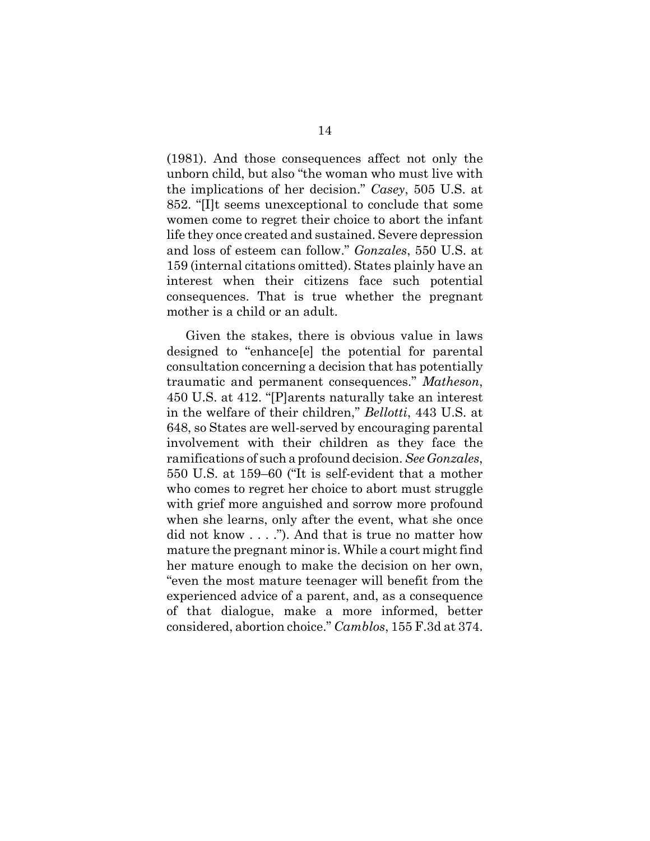(1981). And those consequences affect not only the unborn child, but also "the woman who must live with the implications of her decision." *Casey*, 505 U.S. at 852. "[I]t seems unexceptional to conclude that some women come to regret their choice to abort the infant life they once created and sustained. Severe depression and loss of esteem can follow." *Gonzales*, 550 U.S. at 159 (internal citations omitted). States plainly have an interest when their citizens face such potential consequences. That is true whether the pregnant mother is a child or an adult.

Given the stakes, there is obvious value in laws designed to "enhance[e] the potential for parental consultation concerning a decision that has potentially traumatic and permanent consequences." *Matheson*, 450 U.S. at 412. "[P]arents naturally take an interest in the welfare of their children," *Bellotti*, 443 U.S. at 648, so States are well-served by encouraging parental involvement with their children as they face the ramifications of such a profound decision. *See Gonzales*, 550 U.S. at 159–60 ("It is self-evident that a mother who comes to regret her choice to abort must struggle with grief more anguished and sorrow more profound when she learns, only after the event, what she once did not know . . . ."). And that is true no matter how mature the pregnant minor is. While a court might find her mature enough to make the decision on her own, "even the most mature teenager will benefit from the experienced advice of a parent, and, as a consequence of that dialogue, make a more informed, better considered, abortion choice." *Camblos*, 155 F.3d at 374.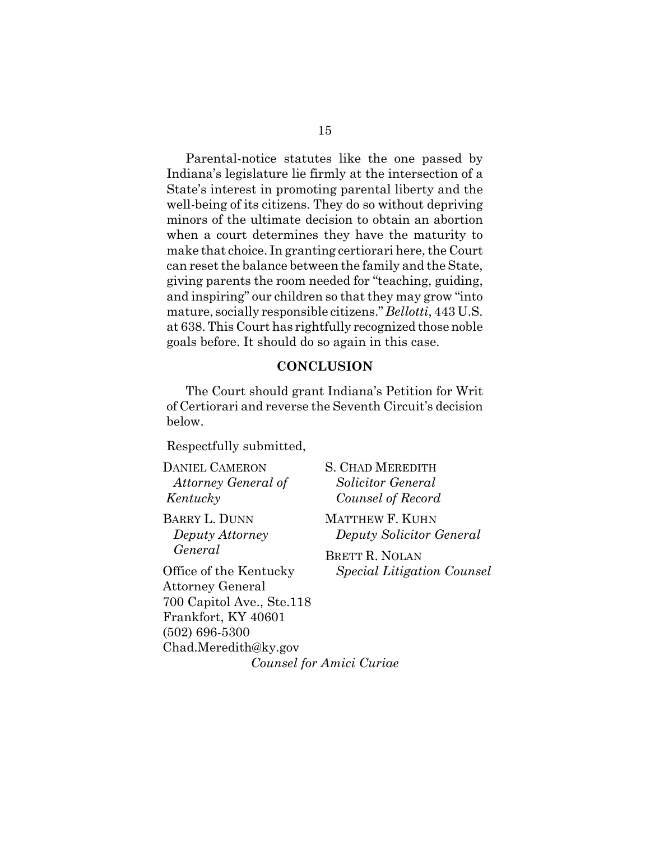Parental-notice statutes like the one passed by Indiana's legislature lie firmly at the intersection of a State's interest in promoting parental liberty and the well-being of its citizens. They do so without depriving minors of the ultimate decision to obtain an abortion when a court determines they have the maturity to make that choice. In granting certiorari here, the Court can reset the balance between the family and the State, giving parents the room needed for "teaching, guiding, and inspiring" our children so that they may grow "into mature, socially responsible citizens." *Bellotti*, 443 U.S. at 638. This Court has rightfully recognized those noble goals before. It should do so again in this case.

#### **CONCLUSION**

The Court should grant Indiana's Petition for Writ of Certiorari and reverse the Seventh Circuit's decision below.

Respectfully submitted,

DANIEL CAMERON *Attorney General of Kentucky*

BARRY L. DUNN  *Deputy Attorney General*

Office of the Kentucky Attorney General 700 Capitol Ave., Ste.118 Frankfort, KY 40601 (502) 696-5300 Chad.Meredith@ky.gov *Counsel for Amici Curiae*

S. CHAD MEREDITH *Solicitor General Counsel of Record*

MATTHEW F. KUHN *Deputy Solicitor General*

BRETT R. NOLAN *Special Litigation Counsel*